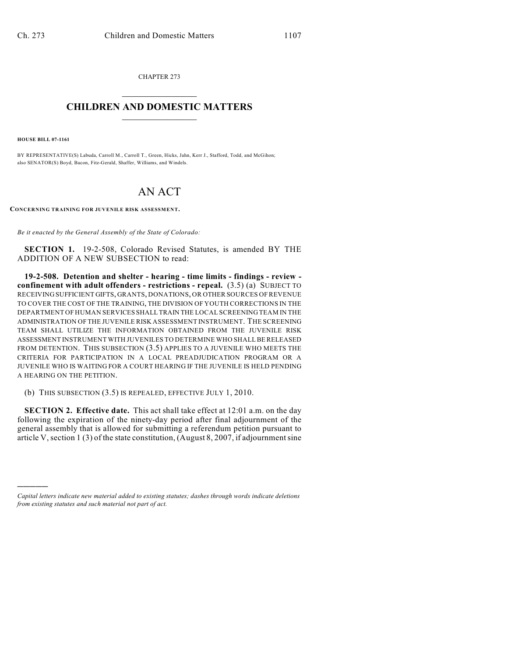CHAPTER 273  $\mathcal{L}_\text{max}$  . The set of the set of the set of the set of the set of the set of the set of the set of the set of the set of the set of the set of the set of the set of the set of the set of the set of the set of the set

## **CHILDREN AND DOMESTIC MATTERS**  $\_$

**HOUSE BILL 07-1161**

)))))

BY REPRESENTATIVE(S) Labuda, Carroll M., Carroll T., Green, Hicks, Jahn, Kerr J., Stafford, Todd, and McGihon; also SENATOR(S) Boyd, Bacon, Fitz-Gerald, Shaffer, Williams, and Windels.

## AN ACT

**CONCERNING TRAINING FOR JUVENILE RISK ASSESSMENT.**

*Be it enacted by the General Assembly of the State of Colorado:*

**SECTION 1.** 19-2-508, Colorado Revised Statutes, is amended BY THE ADDITION OF A NEW SUBSECTION to read:

**19-2-508. Detention and shelter - hearing - time limits - findings - review confinement with adult offenders - restrictions - repeal.** (3.5) (a) SUBJECT TO RECEIVING SUFFICIENT GIFTS, GRANTS, DONATIONS, OR OTHER SOURCES OF REVENUE TO COVER THE COST OF THE TRAINING, THE DIVISION OF YOUTH CORRECTIONS IN THE DEPARTMENT OF HUMAN SERVICES SHALL TRAIN THE LOCAL SCREENING TEAM IN THE ADMINISTRATION OF THE JUVENILE RISK ASSESSMENT INSTRUMENT. THE SCREENING TEAM SHALL UTILIZE THE INFORMATION OBTAINED FROM THE JUVENILE RISK ASSESSMENT INSTRUMENT WITH JUVENILES TO DETERMINE WHO SHALL BE RELEASED FROM DETENTION. THIS SUBSECTION (3.5) APPLIES TO A JUVENILE WHO MEETS THE CRITERIA FOR PARTICIPATION IN A LOCAL PREADJUDICATION PROGRAM OR A JUVENILE WHO IS WAITING FOR A COURT HEARING IF THE JUVENILE IS HELD PENDING A HEARING ON THE PETITION.

(b) THIS SUBSECTION (3.5) IS REPEALED, EFFECTIVE JULY 1, 2010.

**SECTION 2. Effective date.** This act shall take effect at 12:01 a.m. on the day following the expiration of the ninety-day period after final adjournment of the general assembly that is allowed for submitting a referendum petition pursuant to article V, section 1 (3) of the state constitution, (August 8, 2007, if adjournment sine

*Capital letters indicate new material added to existing statutes; dashes through words indicate deletions from existing statutes and such material not part of act.*